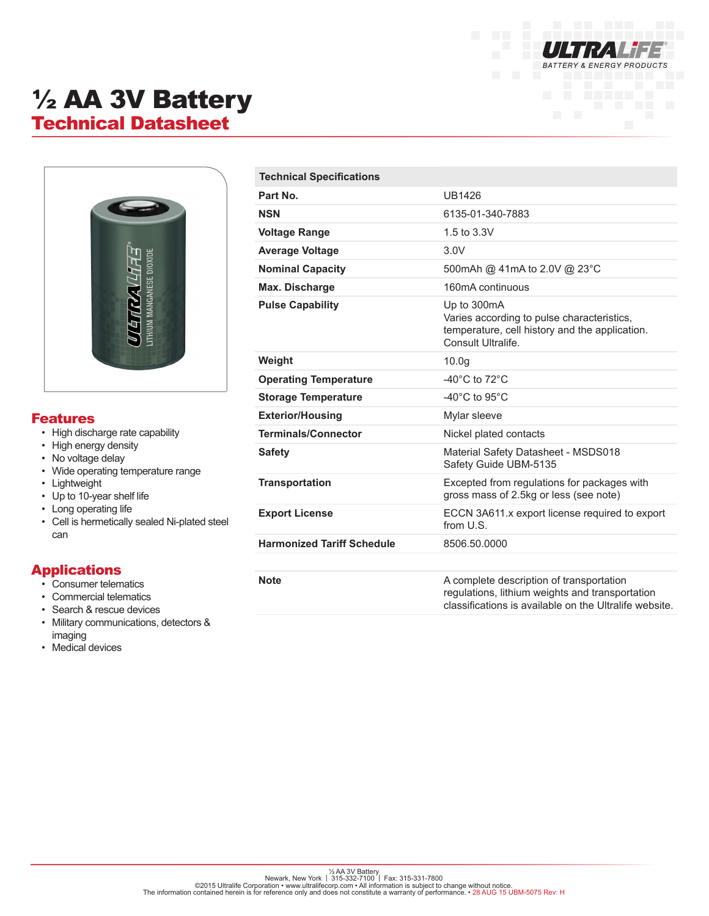

# ½ AA 3V Battery Technical Datasheet



#### Features

- High discharge rate capability
- High energy density
- No voltage delay
- Wide operating temperature range
- Lightweight
- Up to 10-year shelf life
- Long operating life
- Cell is hermetically sealed Ni-plated steel can

#### Applications

- Consumer telematics
- Commercial telematics
- Search & rescue devices
- Military communications, detectors & imaging
- Medical devices

| <b>Technical Specifications</b>   |                                                                                                                                                       |
|-----------------------------------|-------------------------------------------------------------------------------------------------------------------------------------------------------|
| Part No.                          | <b>UB1426</b>                                                                                                                                         |
| <b>NSN</b>                        | 6135-01-340-7883                                                                                                                                      |
| <b>Voltage Range</b>              | 1.5 to 3.3V                                                                                                                                           |
| <b>Average Voltage</b>            | 3.0V                                                                                                                                                  |
| <b>Nominal Capacity</b>           | 500mAh @ 41mA to 2.0V @ 23°C                                                                                                                          |
| Max. Discharge                    | 160mA continuous                                                                                                                                      |
| <b>Pulse Capability</b>           | Up to 300mA<br>Varies according to pulse characteristics,<br>temperature, cell history and the application.<br>Consult Ultralife.                     |
| Weight                            | 10.0 <sub>g</sub>                                                                                                                                     |
| <b>Operating Temperature</b>      | -40 $^{\circ}$ C to 72 $^{\circ}$ C                                                                                                                   |
| <b>Storage Temperature</b>        | -40 $^{\circ}$ C to 95 $^{\circ}$ C                                                                                                                   |
| <b>Exterior/Housing</b>           | Mylar sleeve                                                                                                                                          |
| <b>Terminals/Connector</b>        | Nickel plated contacts                                                                                                                                |
| <b>Safety</b>                     | Material Safety Datasheet - MSDS018<br>Safety Guide UBM-5135                                                                                          |
| <b>Transportation</b>             | Excepted from regulations for packages with<br>gross mass of 2.5kg or less (see note)                                                                 |
| <b>Export License</b>             | ECCN 3A611.x export license required to export<br>from U.S.                                                                                           |
| <b>Harmonized Tariff Schedule</b> | 8506.50.0000                                                                                                                                          |
|                                   |                                                                                                                                                       |
| <b>Note</b>                       | A complete description of transportation<br>regulations, lithium weights and transportation<br>classifications is available on the Ultralife website. |